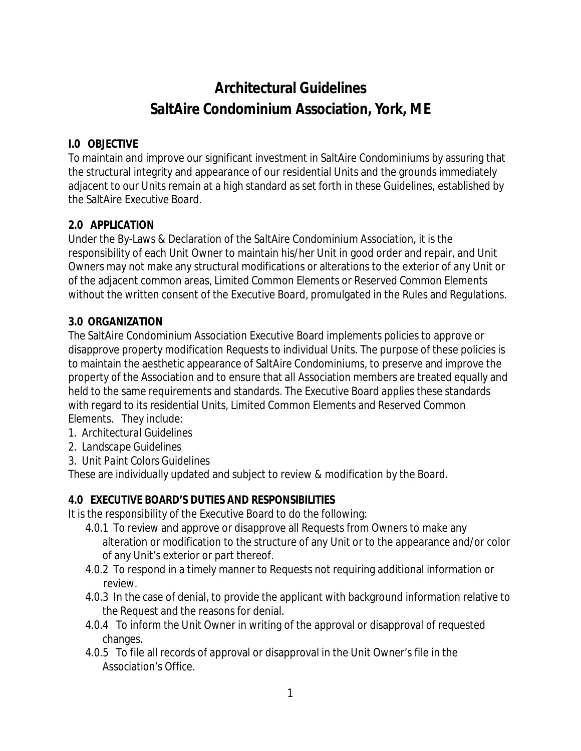# **Architectural Guidelines SaltAire Condominium Association, York, ME**

# **I.0 OBJECTIVE**

To maintain and improve our significant investment in SaltAire Condominiums by assuring that the structural integrity and appearance of our residential Units and the grounds immediately adjacent to our Units remain at a high standard as set forth in these Guidelines, established by the SaltAire Executive Board.

# **2.0 APPLICATION**

Under the By-Laws & Declaration of the SaltAire Condominium Association, it is the responsibility of each Unit Owner to maintain his/her Unit in good order and repair, and Unit Owners may not make any structural modifications or alterations to the exterior of any Unit or of the adjacent common areas, Limited Common Elements or Reserved Common Elements without the written consent of the Executive Board, promulgated in the Rules and Regulations.

# **3.0 ORGANIZATION**

The SaltAire Condominium Association Executive Board implements policies to approve or disapprove property modification Requests to individual Units. The purpose of these policies is to maintain the aesthetic appearance of SaltAire Condominiums, to preserve and improve the property of the Association and to ensure that all Association members are treated equally and held to the same requirements and standards. The Executive Board applies these standards with regard to its residential Units, Limited Common Elements and Reserved Common Elements. They include:

- *1. Architectural Guidelines*
- *2. Landscape Guidelines*
- *3. Unit Paint Colors Guidelines*

These are individually updated and subject to review & modification by the Board.

# **4.0 EXECUTIVE BOARD'S DUTIES AND RESPONSIBILITIES**

It is the responsibility of the Executive Board to do the following:

- 4.0.1 To review and approve or disapprove all Requests from Owners to make any alteration or modification to the structure of any Unit or to the appearance and/or color of any Unit's exterior or part thereof.
- 4.0.2 To respond in a timely manner to Requests not requiring additional information or review.
- 4.0.3 In the case of denial, to provide the applicant with background information relative to the Request and the reasons for denial.
- 4.0.4 To inform the Unit Owner in writing of the approval or disapproval of requested changes.
- 4.0.5 To file all records of approval or disapproval in the Unit Owner's file in the Association's Office.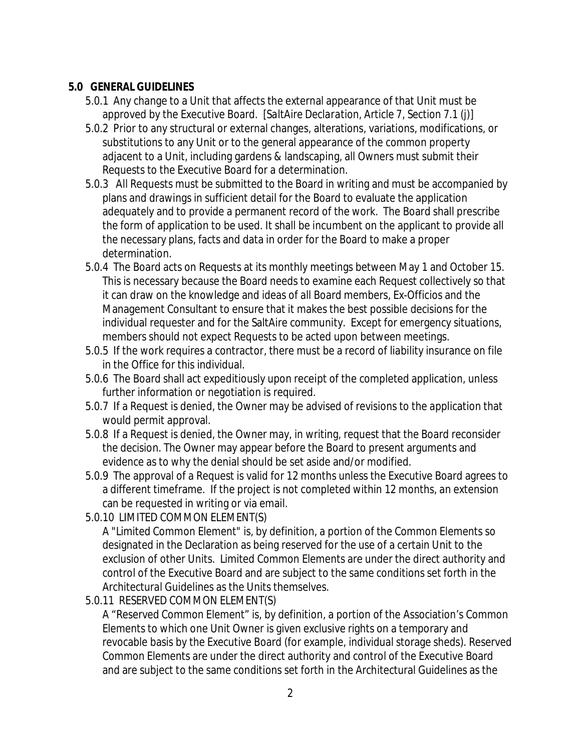## **5.0 GENERAL GUIDELINES**

- 5.0.1 Any change to a Unit that affects the external appearance of that Unit must be approved by the Executive Board. [*SaltAire Declaration, Article 7, Section 7.1 (j)*]
- 5.0.2 Prior to any structural or external changes, alterations, variations, modifications, or substitutions to any Unit or to the general appearance of the common property adjacent to a Unit, including gardens & landscaping, all Owners must submit their Requests to the Executive Board for a determination.
- 5.0.3 All Requests must be submitted to the Board in writing and must be accompanied by plans and drawings in sufficient detail for the Board to evaluate the application adequately and to provide a permanent record of the work. The Board shall prescribe the form of application to be used. It shall be incumbent on the applicant to provide all the necessary plans, facts and data in order for the Board to make a proper determination.
- 5.0.4 The Board acts on Requests at its monthly meetings between May 1 and October 15. This is necessary because the Board needs to examine each Request collectively so that it can draw on the knowledge and ideas of all Board members, Ex-Officios and the Management Consultant to ensure that it makes the best possible decisions for the individual requester and for the SaltAire community. Except for emergency situations, members should not expect Requests to be acted upon between meetings.
- 5.0.5 If the work requires a contractor, there must be a record of liability insurance on file in the Office for this individual.
- 5.0.6 The Board shall act expeditiously upon receipt of the completed application, unless further information or negotiation is required.
- 5.0.7 If a Request is denied, the Owner may be advised of revisions to the application that would permit approval.
- 5.0.8 If a Request is denied, the Owner may, in writing, request that the Board reconsider the decision. The Owner may appear before the Board to present arguments and evidence as to why the denial should be set aside and/or modified.
- 5.0.9 The approval of a Request is valid for 12 months unless the Executive Board agrees to a different timeframe. If the project is not completed within 12 months, an extension can be requested in writing or via email.
- 5.0.10 LIMITED COMMON ELEMENT(S)

A "Limited Common Element" is, by definition, a portion of the Common Elements so designated in the Declaration as being reserved for the use of a certain Unit to the exclusion of other Units. Limited Common Elements are under the direct authority and control of the Executive Board and are subject to the same conditions set forth in the Architectural Guidelines as the Units themselves.

5.0.11 RESERVED COMMON ELEMENT(S)

A "Reserved Common Element" is, by definition, a portion of the Association's Common Elements to which one Unit Owner is given exclusive rights on a temporary and revocable basis by the Executive Board (for example, individual storage sheds). Reserved Common Elements are under the direct authority and control of the Executive Board and are subject to the same conditions set forth in the Architectural Guidelines as the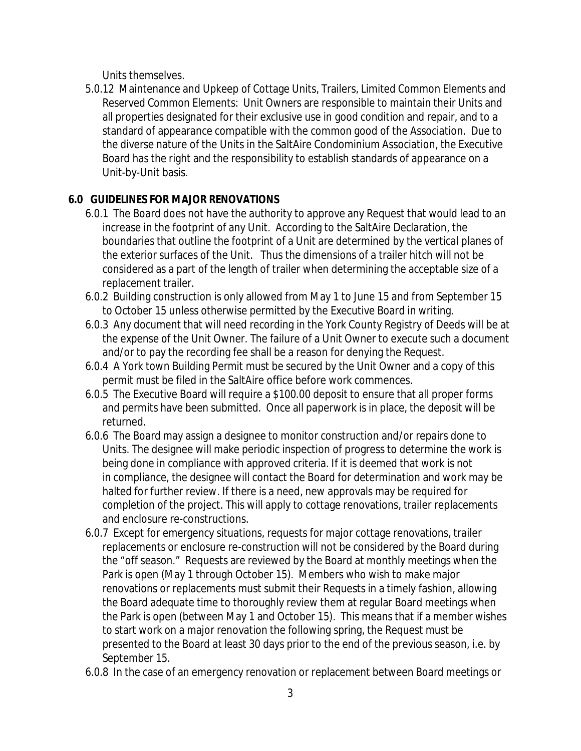Units themselves.

5.0.12 Maintenance and Upkeep of Cottage Units, Trailers, Limited Common Elements and Reserved Common Elements: Unit Owners are responsible to maintain their Units and all properties designated for their exclusive use in good condition and repair, and to a standard of appearance compatible with the common good of the Association. Due to the diverse nature of the Units in the SaltAire Condominium Association, the Executive Board has the right and the responsibility to establish standards of appearance on a Unit-by-Unit basis.

# **6.0 GUIDELINES FOR MAJOR RENOVATIONS**

- 6.0.1 The Board does not have the authority to approve any Request that would lead to an increase in the footprint of any Unit. According to the SaltAire Declaration, the boundaries that outline the footprint of a Unit are determined by the vertical planes of the exterior surfaces of the Unit. Thus the dimensions of a trailer hitch will not be considered as a part of the length of trailer when determining the acceptable size of a replacement trailer.
- 6.0.2 Building construction is only allowed from May 1 to June 15 and from September 15 to October 15 unless otherwise permitted by the Executive Board in writing.
- 6.0.3 Any document that will need recording in the York County Registry of Deeds will be at the expense of the Unit Owner. The failure of a Unit Owner to execute such a document and/or to pay the recording fee shall be a reason for denying the Request.
- 6.0.4 A York town Building Permit must be secured by the Unit Owner and a copy of this permit must be filed in the SaltAire office before work commences.
- 6.0.5 The Executive Board will require a \$100.00 deposit to ensure that all proper forms and permits have been submitted. Once all paperwork is in place, the deposit will be returned.
- 6.0.6 The Board may assign a designee to monitor construction and/or repairs done to Units. The designee will make periodic inspection of progress to determine the work is being done in compliance with approved criteria. If it is deemed that work is not in compliance, the designee will contact the Board for determination and work may be halted for further review. If there is a need, new approvals may be required for completion of the project. This will apply to cottage renovations, trailer replacements and enclosure re-constructions.
- 6.0.7 Except for emergency situations, requests for major cottage renovations, trailer replacements or enclosure re-construction will not be considered by the Board during the "off season." Requests are reviewed by the Board at monthly meetings when the Park is open (May 1 through October 15). Members who wish to make major renovations or replacements must submit their Requests in a timely fashion, allowing the Board adequate time to thoroughly review them at regular Board meetings when the Park is open (between May 1 and October 15). This means that if a member wishes to start work on a major renovation the following spring, the Request must be presented to the Board at least 30 days prior to the end of the previous season, i.e. by September 15.
- 6.0.8 In the case of an emergency renovation or replacement between Board meetings or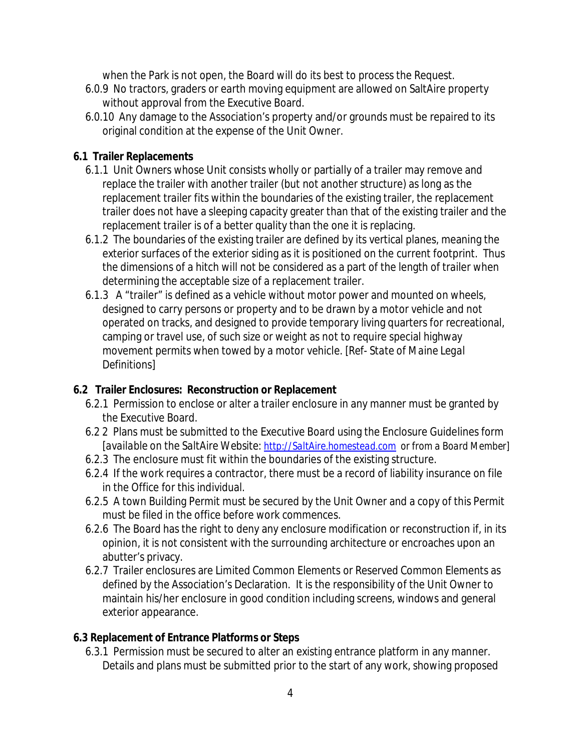when the Park is not open, the Board will do its best to process the Request.

- 6.0.9 No tractors, graders or earth moving equipment are allowed on SaltAire property without approval from the Executive Board.
- 6.0.10 Any damage to the Association's property and/or grounds must be repaired to its original condition at the expense of the Unit Owner.

## **6.1 Trailer Replacements**

- 6.1.1 Unit Owners whose Unit consists wholly or partially of a trailer may remove and replace the trailer with another trailer (but not another structure) as long as the replacement trailer fits within the boundaries of the existing trailer, the replacement trailer does not have a sleeping capacity greater than that of the existing trailer and the replacement trailer is of a better quality than the one it is replacing.
- 6.1.2 The boundaries of the existing trailer are defined by its vertical planes, meaning the exterior surfaces of the exterior siding as it is positioned on the current footprint. Thus the dimensions of a hitch will not be considered as a part of the length of trailer when determining the acceptable size of a replacement trailer.
- 6.1.3 A "trailer" is defined as a vehicle without motor power and mounted on wheels, designed to carry persons or property and to be drawn by a motor vehicle and not operated on tracks, and designed to provide temporary living quarters for recreational, camping or travel use, of such size or weight as not to require special highway movement permits when towed by a motor vehicle. [*Ref*- *State of Maine Legal Definitions*]

## **6.2 Trailer Enclosures: Reconstruction or Replacement**

- 6.2.1 Permission to enclose or alter a trailer enclosure in any manner must be granted by the Executive Board.
- 6.2 2 Plans must be submitted to the Executive Board using the Enclosure Guidelines form [*available on the SaltAire Website: http://SaltAire.homestead.com or from a Board Member*]
- 6.2.3 The enclosure must fit within the boundaries of the existing structure.
- 6.2.4 If the work requires a contractor, there must be a record of liability insurance on file in the Office for this individual.
- 6.2.5 A town Building Permit must be secured by the Unit Owner and a copy of this Permit must be filed in the office before work commences.
- 6.2.6 The Board has the right to deny any enclosure modification or reconstruction if, in its opinion, it is not consistent with the surrounding architecture or encroaches upon an abutter's privacy.
- 6.2.7 Trailer enclosures are Limited Common Elements or Reserved Common Elements as defined by the Association's Declaration. It is the responsibility of the Unit Owner to maintain his/her enclosure in good condition including screens, windows and general exterior appearance.

# **6.3 Replacement of Entrance Platforms or Steps**

6.3.1 Permission must be secured to alter an existing entrance platform in any manner. Details and plans must be submitted prior to the start of any work, showing proposed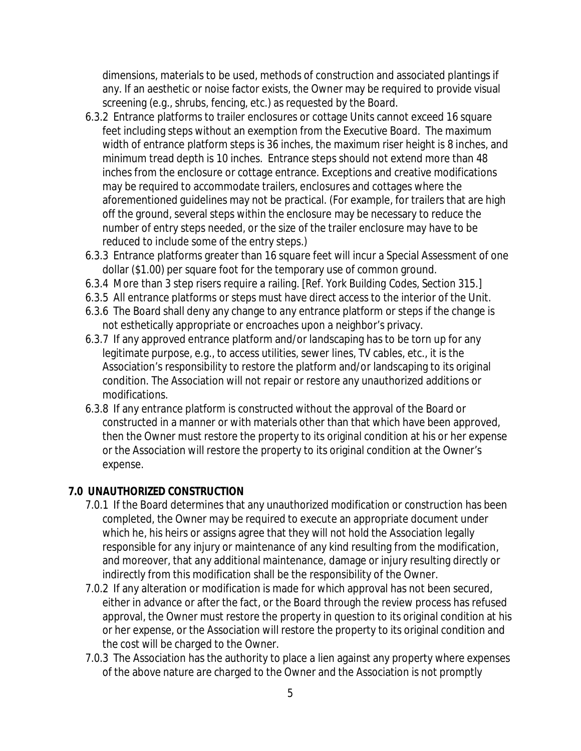dimensions, materials to be used, methods of construction and associated plantings if any. If an aesthetic or noise factor exists, the Owner may be required to provide visual screening (e.g., shrubs, fencing, etc.) as requested by the Board.

- 6.3.2 Entrance platforms to trailer enclosures or cottage Units cannot exceed 16 square feet including steps without an exemption from the Executive Board. The maximum width of entrance platform steps is 36 inches, the maximum riser height is 8 inches, and minimum tread depth is 10 inches. Entrance steps should not extend more than 48 inches from the enclosure or cottage entrance. Exceptions and creative modifications may be required to accommodate trailers, enclosures and cottages where the aforementioned guidelines may not be practical. (For example, for trailers that are high off the ground, several steps within the enclosure may be necessary to reduce the number of entry steps needed, or the size of the trailer enclosure may have to be reduced to include some of the entry steps.)
- 6.3.3 Entrance platforms greater than 16 square feet will incur a Special Assessment of one dollar (\$1.00) per square foot for the temporary use of common ground.
- 6.3.4 More than 3 step risers require a railing. [*Ref. York Building Codes, Section 315.*]
- 6.3.5 All entrance platforms or steps must have direct access to the interior of the Unit.
- 6.3.6 The Board shall deny any change to any entrance platform or steps if the change is not esthetically appropriate or encroaches upon a neighbor's privacy.
- 6.3.7 If any approved entrance platform and/or landscaping has to be torn up for any legitimate purpose, e.g., to access utilities, sewer lines, TV cables, etc., it is the Association's responsibility to restore the platform and/or landscaping to its original condition. The Association will not repair or restore any unauthorized additions or modifications.
- 6.3.8 If any entrance platform is constructed without the approval of the Board or constructed in a manner or with materials other than that which have been approved, then the Owner must restore the property to its original condition at his or her expense or the Association will restore the property to its original condition at the Owner's expense.

#### **7.0 UNAUTHORIZED CONSTRUCTION**

- 7.0.1 If the Board determines that any unauthorized modification or construction has been completed, the Owner may be required to execute an appropriate document under which he, his heirs or assigns agree that they will not hold the Association legally responsible for any injury or maintenance of any kind resulting from the modification, and moreover, that any additional maintenance, damage or injury resulting directly or indirectly from this modification shall be the responsibility of the Owner.
- 7.0.2 If any alteration or modification is made for which approval has not been secured, either in advance or after the fact, or the Board through the review process has refused approval, the Owner must restore the property in question to its original condition at his or her expense, or the Association will restore the property to its original condition and the cost will be charged to the Owner.
- 7.0.3 The Association has the authority to place a lien against any property where expenses of the above nature are charged to the Owner and the Association is not promptly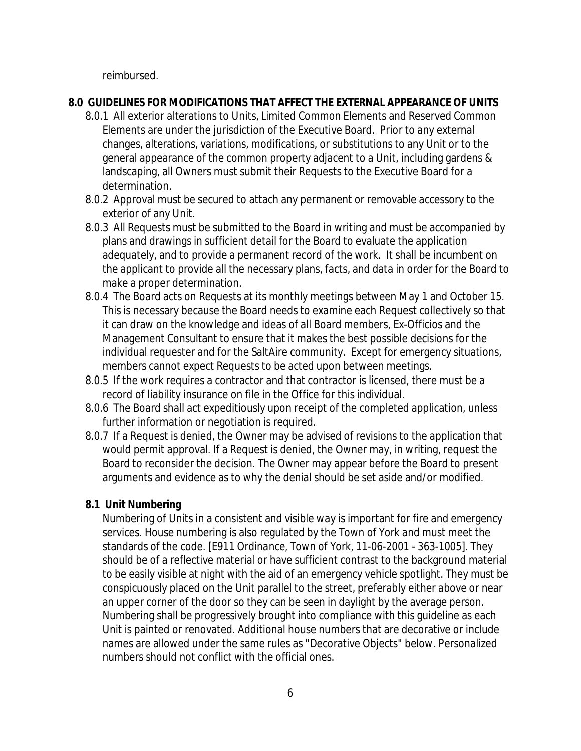reimbursed.

## **8.0 GUIDELINES FOR MODIFICATIONS THAT AFFECT THE EXTERNAL APPEARANCE OF UNITS**

- 8.0.1 All exterior alterations to Units, Limited Common Elements and Reserved Common Elements are under the jurisdiction of the Executive Board. Prior to any external changes, alterations, variations, modifications, or substitutions to any Unit or to the general appearance of the common property adjacent to a Unit, including gardens & landscaping, all Owners must submit their Requests to the Executive Board for a determination.
- 8.0.2 Approval must be secured to attach any permanent or removable accessory to the exterior of any Unit.
- 8.0.3 All Requests must be submitted to the Board in writing and must be accompanied by plans and drawings in sufficient detail for the Board to evaluate the application adequately, and to provide a permanent record of the work. It shall be incumbent on the applicant to provide all the necessary plans, facts, and data in order for the Board to make a proper determination.
- 8.0.4 The Board acts on Requests at its monthly meetings between May 1 and October 15. This is necessary because the Board needs to examine each Request collectively so that it can draw on the knowledge and ideas of all Board members, Ex-Officios and the Management Consultant to ensure that it makes the best possible decisions for the individual requester and for the SaltAire community. Except for emergency situations, members cannot expect Requests to be acted upon between meetings.
- 8.0.5 If the work requires a contractor and that contractor is licensed, there must be a record of liability insurance on file in the Office for this individual.
- 8.0.6 The Board shall act expeditiously upon receipt of the completed application, unless further information or negotiation is required.
- 8.0.7 If a Request is denied, the Owner may be advised of revisions to the application that would permit approval. If a Request is denied, the Owner may, in writing, request the Board to reconsider the decision. The Owner may appear before the Board to present arguments and evidence as to why the denial should be set aside and/or modified.

## **8.1 Unit Numbering**

Numbering of Units in a consistent and visible way is important for fire and emergency services. House numbering is also regulated by the Town of York and must meet the standards of the code. [*E911 Ordinance, Town of York, 11-06-2001 - 363-1005*]. They should be of a reflective material or have sufficient contrast to the background material to be easily visible at night with the aid of an emergency vehicle spotlight. They must be conspicuously placed on the Unit parallel to the street, preferably either above or near an upper corner of the door so they can be seen in daylight by the average person. Numbering shall be progressively brought into compliance with this guideline as each Unit is painted or renovated. Additional house numbers that are decorative or include names are allowed under the same rules as "Decorative Objects" below. Personalized numbers should not conflict with the official ones.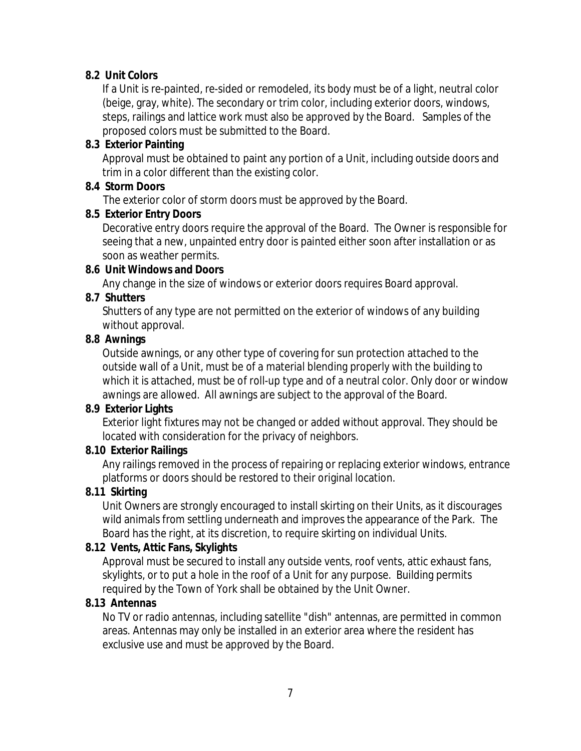## **8.2 Unit Colors**

If a Unit is re-painted, re-sided or remodeled, its body must be of a light, neutral color (beige, gray, white). The secondary or trim color, including exterior doors, windows, steps, railings and lattice work must also be approved by the Board. Samples of the proposed colors must be submitted to the Board.

#### **8.3 Exterior Painting**

Approval must be obtained to paint any portion of a Unit, including outside doors and trim in a color different than the existing color.

#### **8.4 Storm Doors**

The exterior color of storm doors must be approved by the Board.

#### **8.5 Exterior Entry Doors**

Decorative entry doors require the approval of the Board. The Owner is responsible for seeing that a new, unpainted entry door is painted either soon after installation or as soon as weather permits.

## **8.6 Unit Windows and Doors**

Any change in the size of windows or exterior doors requires Board approval.

## **8.7 Shutters**

Shutters of any type are not permitted on the exterior of windows of any building without approval.

## **8.8 Awnings**

Outside awnings, or any other type of covering for sun protection attached to the outside wall of a Unit, must be of a material blending properly with the building to which it is attached, must be of roll-up type and of a neutral color. Only door or window awnings are allowed. All awnings are subject to the approval of the Board.

## **8.9 Exterior Lights**

Exterior light fixtures may not be changed or added without approval. They should be located with consideration for the privacy of neighbors.

## **8.10 Exterior Railings**

Any railings removed in the process of repairing or replacing exterior windows, entrance platforms or doors should be restored to their original location.

## **8.11 Skirting**

Unit Owners are strongly encouraged to install skirting on their Units, as it discourages wild animals from settling underneath and improves the appearance of the Park. The Board has the right, at its discretion, to require skirting on individual Units.

## **8.12 Vents, Attic Fans, Skylights**

Approval must be secured to install any outside vents, roof vents, attic exhaust fans, skylights, or to put a hole in the roof of a Unit for any purpose. Building permits required by the Town of York shall be obtained by the Unit Owner.

## **8.13 Antennas**

No TV or radio antennas, including satellite "dish" antennas, are permitted in common areas. Antennas may only be installed in an exterior area where the resident has exclusive use and must be approved by the Board.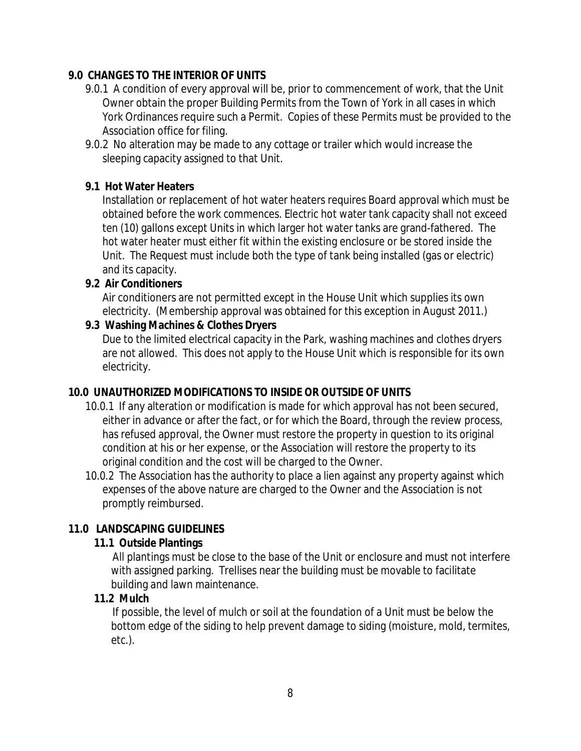## **9.0 CHANGES TO THE INTERIOR OF UNITS**

- 9.0.1 A condition of every approval will be, prior to commencement of work, that the Unit Owner obtain the proper Building Permits from the Town of York in all cases in which York Ordinances require such a Permit. Copies of these Permits must be provided to the Association office for filing.
- 9.0.2 No alteration may be made to any cottage or trailer which would increase the sleeping capacity assigned to that Unit.

## **9.1 Hot Water Heaters**

Installation or replacement of hot water heaters requires Board approval which must be obtained before the work commences. Electric hot water tank capacity shall not exceed ten (10) gallons except Units in which larger hot water tanks are grand-fathered. The hot water heater must either fit within the existing enclosure or be stored inside the Unit. The Request must include both the type of tank being installed (gas or electric) and its capacity.

## **9.2 Air Conditioners**

Air conditioners are not permitted except in the House Unit which supplies its own electricity. (Membership approval was obtained for this exception in August 2011.)

## **9.3 Washing Machines & Clothes Dryers**

Due to the limited electrical capacity in the Park, washing machines and clothes dryers are not allowed. This does not apply to the House Unit which is responsible for its own electricity.

#### **10.0 UNAUTHORIZED MODIFICATIONS TO INSIDE OR OUTSIDE OF UNITS**

10.0.1 If any alteration or modification is made for which approval has not been secured, either in advance or after the fact, or for which the Board, through the review process, has refused approval, the Owner must restore the property in question to its original condition at his or her expense, or the Association will restore the property to its original condition and the cost will be charged to the Owner.

10.0.2 The Association has the authority to place a lien against any property against which expenses of the above nature are charged to the Owner and the Association is not promptly reimbursed.

## **11.0 LANDSCAPING GUIDELINES**

#### **11.1 Outside Plantings**

 All plantings must be close to the base of the Unit or enclosure and must not interfere with assigned parking. Trellises near the building must be movable to facilitate building and lawn maintenance.

#### **11.2 Mulch**

If possible, the level of mulch or soil at the foundation of a Unit must be below the bottom edge of the siding to help prevent damage to siding (moisture, mold, termites, etc.).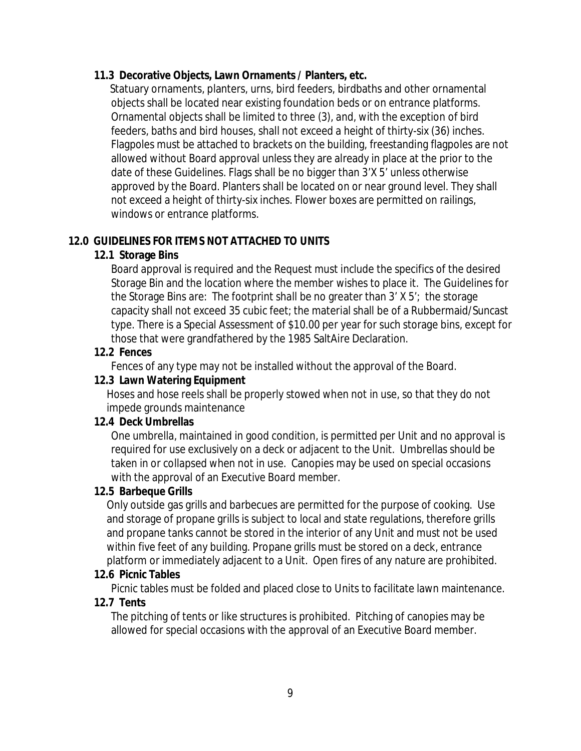#### **11.3 Decorative Objects, Lawn Ornaments / Planters, etc.**

Statuary ornaments, planters, urns, bird feeders, birdbaths and other ornamental objects shall be located near existing foundation beds or on entrance platforms. Ornamental objects shall be limited to three (3), and, with the exception of bird feeders, baths and bird houses, shall not exceed a height of thirty-six (36) inches. Flagpoles must be attached to brackets on the building, freestanding flagpoles are not allowed without Board approval unless they are already in place at the prior to the date of these Guidelines. Flags shall be no bigger than 3'X 5' unless otherwise approved by the Board. Planters shall be located on or near ground level. They shall not exceed a height of thirty-six inches. Flower boxes are permitted on railings, windows or entrance platforms.

#### **12.0 GUIDELINES FOR ITEMS NOT ATTACHED TO UNITS**

#### **12.1 Storage Bins**

Board approval is required and the Request must include the specifics of the desired Storage Bin and the location where the member wishes to place it. The Guidelines for the Storage Bins are: The footprint shall be no greater than 3' X 5'; the storage capacity shall not exceed 35 cubic feet; the material shall be of a Rubbermaid/Suncast type. There is a Special Assessment of \$10.00 per year for such storage bins, except for those that were grandfathered by the 1985 SaltAire Declaration.

#### **12.2 Fences**

Fences of any type may not be installed without the approval of the Board.

#### **12.3 Lawn Watering Equipment**

Hoses and hose reels shall be properly stowed when not in use, so that they do not impede grounds maintenance

#### **12.4 Deck Umbrellas**

One umbrella, maintained in good condition, is permitted per Unit and no approval is required for use exclusively on a deck or adjacent to the Unit. Umbrellas should be taken in or collapsed when not in use. Canopies may be used on special occasions with the approval of an Executive Board member.

#### **12.5 Barbeque Grills**

Only outside gas grills and barbecues are permitted for the purpose of cooking. Use and storage of propane grills is subject to local and state regulations, therefore grills and propane tanks cannot be stored in the interior of any Unit and must not be used within five feet of any building. Propane grills must be stored on a deck, entrance platform or immediately adjacent to a Unit. Open fires of any nature are prohibited.

#### **12.6 Picnic Tables**

Picnic tables must be folded and placed close to Units to facilitate lawn maintenance.

#### **12.7 Tents**

The pitching of tents or like structures is prohibited. Pitching of canopies may be allowed for special occasions with the approval of an Executive Board member.